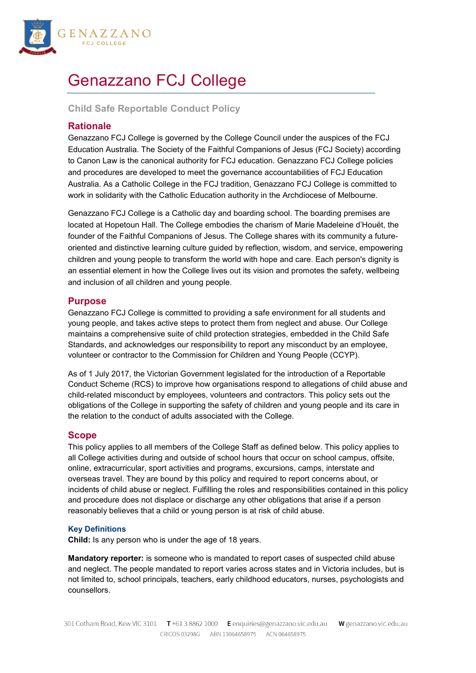

# Genazzano FCJ College

**Child Safe Reportable Conduct Policy**

# **Rationale**

Genazzano FCJ College is governed by the College Council under the auspices of the FCJ Education Australia. The Society of the Faithful Companions of Jesus (FCJ Society) according to Canon Law is the canonical authority for FCJ education. Genazzano FCJ College policies and procedures are developed to meet the governance accountabilities of FCJ Education Australia. As a Catholic College in the FCJ tradition, Genazzano FCJ College is committed to work in solidarity with the Catholic Education authority in the Archdiocese of Melbourne.

Genazzano FCJ College is a Catholic day and boarding school. The boarding premises are located at Hopetoun Hall. The College embodies the charism of Marie Madeleine d'Houët, the founder of the Faithful Companions of Jesus. The College shares with its community a futureoriented and distinctive learning culture guided by reflection, wisdom, and service, empowering children and young people to transform the world with hope and care. Each person's dignity is an essential element in how the College lives out its vision and promotes the safety, wellbeing and inclusion of all children and young people.

# **Purpose**

Genazzano FCJ College is committed to providing a safe environment for all students and young people, and takes active steps to protect them from neglect and abuse. Our College maintains a comprehensive suite of child protection strategies, embedded in the Child Safe Standards, and acknowledges our responsibility to report any misconduct by an employee, volunteer or contractor to the Commission for Children and Young People (CCYP).

As of 1 July 2017, the Victorian Government legislated for the introduction of a Reportable Conduct Scheme (RCS) to improve how organisations respond to allegations of child abuse and child-related misconduct by employees, volunteers and contractors. This policy sets out the obligations of the College in supporting the safety of children and young people and its care in the relation to the conduct of adults associated with the College.

# **Scope**

This policy applies to all members of the College Staff as defined below. This policy applies to all College activities during and outside of school hours that occur on school campus, offsite, online, extracurricular, sport activities and programs, excursions, camps, interstate and overseas travel. They are bound by this policy and required to report concerns about, or incidents of child abuse or neglect. Fulfilling the roles and responsibilities contained in this policy and procedure does not displace or discharge any other obligations that arise if a person reasonably believes that a child or young person is at risk of child abuse.

## **Key Definitions**

**Child:** Is any person who is under the age of 18 years.

**Mandatory reporter:** is someone who is mandated to report cases of suspected child abuse and neglect. The people mandated to report varies across states and in Victoria includes, but is not limited to, school principals, teachers, early childhood educators, nurses, psychologists and counsellors.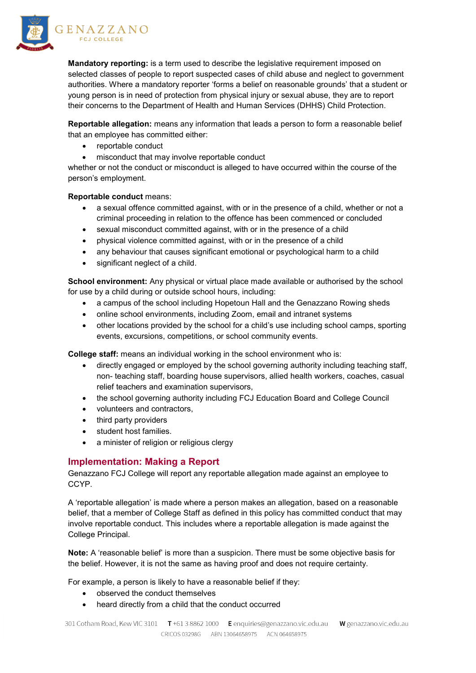

**Mandatory reporting:** is a term used to describe the legislative requirement imposed on selected classes of people to report suspected cases of child abuse and neglect to government authorities. Where a mandatory reporter 'forms a belief on reasonable grounds' that a student or young person is in need of protection from physical injury or sexual abuse, they are to report their concerns to the Department of Health and Human Services (DHHS) Child Protection.

**Reportable allegation:** means any information that leads a person to form a reasonable belief that an employee has committed either:

- reportable conduct
- misconduct that may involve reportable conduct

whether or not the conduct or misconduct is alleged to have occurred within the course of the person's employment.

**Reportable conduct** means:

- a sexual offence committed against, with or in the presence of a child, whether or not a criminal proceeding in relation to the offence has been commenced or concluded
- sexual misconduct committed against, with or in the presence of a child
- physical violence committed against, with or in the presence of a child
- any behaviour that causes significant emotional or psychological harm to a child
- significant neglect of a child.

**School environment:** Any physical or virtual place made available or authorised by the school for use by a child during or outside school hours, including:

- a campus of the school including Hopetoun Hall and the Genazzano Rowing sheds
- online school environments, including Zoom, email and intranet systems
- other locations provided by the school for a child's use including school camps, sporting events, excursions, competitions, or school community events.

**College staff:** means an individual working in the school environment who is:

- directly engaged or employed by the school governing authority including teaching staff, non- teaching staff, boarding house supervisors, allied health workers, coaches, casual relief teachers and examination supervisors,
- the school governing authority including FCJ Education Board and College Council
- volunteers and contractors,
- third party providers
- student host families.
- a minister of religion or religious clergy

## **Implementation: Making a Report**

Genazzano FCJ College will report any reportable allegation made against an employee to CCYP.

A 'reportable allegation' is made where a person makes an allegation, based on a reasonable belief, that a member of College Staff as defined in this policy has committed conduct that may involve reportable conduct. This includes where a reportable allegation is made against the College Principal.

**Note:** A 'reasonable belief' is more than a suspicion. There must be some objective basis for the belief. However, it is not the same as having proof and does not require certainty.

For example, a person is likely to have a reasonable belief if they:

- observed the conduct themselves
- heard directly from a child that the conduct occurred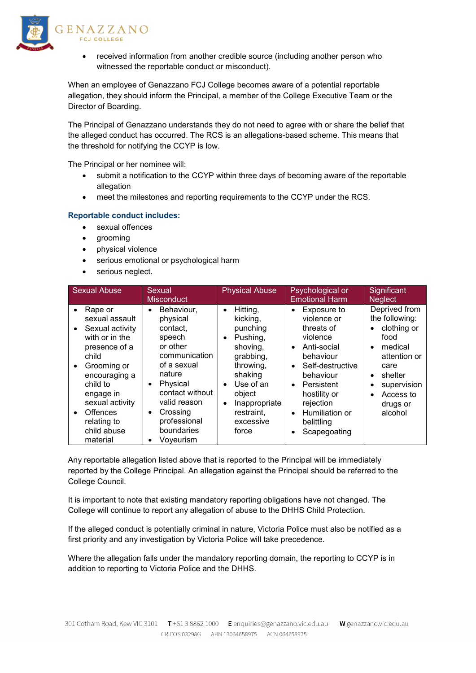

received information from another credible source (including another person who witnessed the reportable conduct or misconduct).

When an employee of Genazzano FCJ College becomes aware of a potential reportable allegation, they should inform the Principal, a member of the College Executive Team or the Director of Boarding.

The Principal of Genazzano understands they do not need to agree with or share the belief that the alleged conduct has occurred. The RCS is an allegations-based scheme. This means that the threshold for notifying the CCYP is low.

The Principal or her nominee will:

- submit a notification to the CCYP within three days of becoming aware of the reportable allegation
- meet the milestones and reporting requirements to the CCYP under the RCS.

#### **Reportable conduct includes:**

- sexual offences
- grooming
- physical violence
- serious emotional or psychological harm
- serious neglect.

| <b>Sexual Abuse</b>                                                                                                                                                                                                                                                                   | Sexual<br><b>Misconduct</b>                                                                                                                                                                                           | <b>Physical Abuse</b>                                                                                                                                                                                                         | Psychological or<br><b>Emotional Harm</b>                                                                                                                                                                                                           | Significant<br><b>Neglect</b>                                                                                                                                             |
|---------------------------------------------------------------------------------------------------------------------------------------------------------------------------------------------------------------------------------------------------------------------------------------|-----------------------------------------------------------------------------------------------------------------------------------------------------------------------------------------------------------------------|-------------------------------------------------------------------------------------------------------------------------------------------------------------------------------------------------------------------------------|-----------------------------------------------------------------------------------------------------------------------------------------------------------------------------------------------------------------------------------------------------|---------------------------------------------------------------------------------------------------------------------------------------------------------------------------|
| Rape or<br>$\bullet$<br>sexual assault<br>Sexual activity<br>$\bullet$<br>with or in the<br>presence of a<br>child<br>Grooming or<br>$\bullet$<br>encouraging a<br>child to<br>engage in<br>sexual activity<br><b>Offences</b><br>$\bullet$<br>relating to<br>child abuse<br>material | Behaviour,<br>physical<br>contact,<br>speech<br>or other<br>communication<br>of a sexual<br>nature<br>Physical<br>$\bullet$<br>contact without<br>valid reason<br>Crossing<br>professional<br>boundaries<br>Voyeurism | Hitting,<br>$\bullet$<br>kicking,<br>punching<br>Pushing,<br>$\bullet$<br>shoving,<br>grabbing,<br>throwing,<br>shaking<br>Use of an<br>$\bullet$<br>object<br>Inappropriate<br>$\bullet$<br>restraint,<br>excessive<br>force | Exposure to<br>violence or<br>threats of<br>violence<br>Anti-social<br>behaviour<br>Self-destructive<br>$\bullet$<br>behaviour<br>Persistent<br>$\bullet$<br>hostility or<br>rejection<br>Humiliation or<br>$\bullet$<br>belittling<br>Scapegoating | Deprived from<br>the following:<br>clothing or<br>٠<br>food<br>medical<br>attention or<br>care<br>shelter<br>$\bullet$<br>supervision<br>Access to<br>drugs or<br>alcohol |

Any reportable allegation listed above that is reported to the Principal will be immediately reported by the College Principal. An allegation against the Principal should be referred to the College Council.

It is important to note that existing mandatory reporting obligations have not changed. The College will continue to report any allegation of abuse to the DHHS Child Protection.

If the alleged conduct is potentially criminal in nature, Victoria Police must also be notified as a first priority and any investigation by Victoria Police will take precedence.

Where the allegation falls under the mandatory reporting domain, the reporting to CCYP is in addition to reporting to Victoria Police and the DHHS.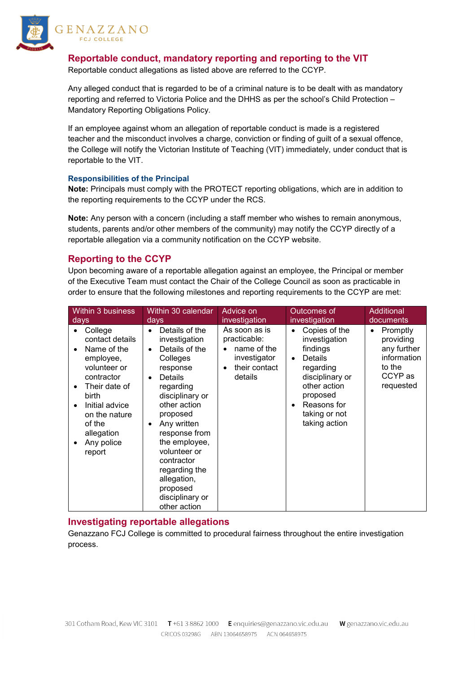

ENAZZANO **FCJ COLLEGE** 

# **Reportable conduct, mandatory reporting and reporting to the VIT**

Reportable conduct allegations as listed above are referred to the CCYP.

Any alleged conduct that is regarded to be of a criminal nature is to be dealt with as mandatory reporting and referred to Victoria Police and the DHHS as per the school's Child Protection – Mandatory Reporting Obligations Policy.

If an employee against whom an allegation of reportable conduct is made is a registered teacher and the misconduct involves a charge, conviction or finding of guilt of a sexual offence, the College will notify the Victorian Institute of Teaching (VIT) immediately, under conduct that is reportable to the VIT.

#### **Responsibilities of the Principal**

**Note:** Principals must comply with the PROTECT reporting obligations, which are in addition to the reporting requirements to the CCYP under the RCS.

**Note:** Any person with a concern (including a staff member who wishes to remain anonymous, students, parents and/or other members of the community) may notify the CCYP directly of a reportable allegation via a community notification on the CCYP website.

# **Reporting to the CCYP**

Upon becoming aware of a reportable allegation against an employee, the Principal or member of the Executive Team must contact the Chair of the College Council as soon as practicable in order to ensure that the following milestones and reporting requirements to the CCYP are met:

| <b>Within 3 business</b>                                                                                                                                                                                                                              | Within 30 calendar                                                                                                                                                                                                                                                                                                                                    | Advice on                                                                                             | Outcomes of                                                                                                                                                                     | <b>Additional</b>                                                                          |
|-------------------------------------------------------------------------------------------------------------------------------------------------------------------------------------------------------------------------------------------------------|-------------------------------------------------------------------------------------------------------------------------------------------------------------------------------------------------------------------------------------------------------------------------------------------------------------------------------------------------------|-------------------------------------------------------------------------------------------------------|---------------------------------------------------------------------------------------------------------------------------------------------------------------------------------|--------------------------------------------------------------------------------------------|
| days                                                                                                                                                                                                                                                  | days                                                                                                                                                                                                                                                                                                                                                  | investigation                                                                                         | investigation                                                                                                                                                                   | documents                                                                                  |
| College<br>contact details<br>Name of the<br>$\bullet$<br>employee,<br>volunteer or<br>contractor<br>Their date of<br>$\bullet$<br>birth<br>Initial advice<br>$\bullet$<br>on the nature<br>of the<br>allegation<br>Any police<br>$\bullet$<br>report | Details of the<br>$\bullet$<br>investigation<br>Details of the<br>$\bullet$<br>Colleges<br>response<br>Details<br>regarding<br>disciplinary or<br>other action<br>proposed<br>Any written<br>$\bullet$<br>response from<br>the employee,<br>volunteer or<br>contractor<br>regarding the<br>allegation,<br>proposed<br>disciplinary or<br>other action | As soon as is<br>practicable:<br>name of the<br>investigator<br>their contact<br>$\bullet$<br>details | Copies of the<br>investigation<br>findings<br>Details<br>$\bullet$<br>regarding<br>disciplinary or<br>other action<br>proposed<br>Reasons for<br>taking or not<br>taking action | Promptly<br>٠<br>providing<br>any further<br>information<br>to the<br>CCYP as<br>requested |

# **Investigating reportable allegations**

Genazzano FCJ College is committed to procedural fairness throughout the entire investigation process.